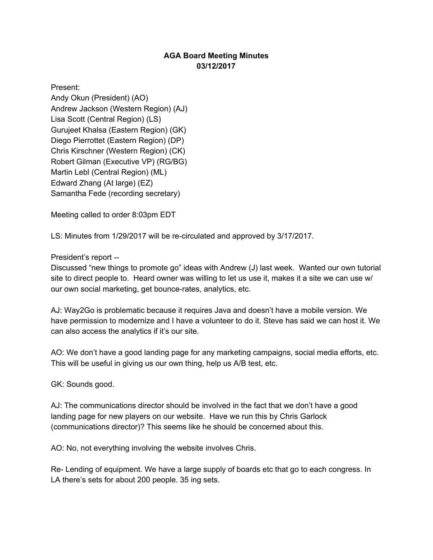## **AGA Board Meeting Minutes 03/12/2017**

Present: Andy Okun (President) (AO) Andrew Jackson (Western Region) (AJ) Lisa Scott (Central Region) (LS) Gurujeet Khalsa (Eastern Region) (GK) Diego Pierrottet (Eastern Region) (DP) Chris Kirschner (Western Region) (CK) Robert Gilman (Executive VP) (RG/BG) Martin Lebl (Central Region) (ML) Edward Zhang (At large) (EZ) Samantha Fede (recording secretary)

Meeting called to order 8:03pm EDT

LS: Minutes from 1/29/2017 will be re-circulated and approved by 3/17/2017.

President's report --

Discussed "new things to promote go" ideas with Andrew (J) last week. Wanted our own tutorial site to direct people to. Heard owner was willing to let us use it, makes it a site we can use w/ our own social marketing, get bounce-rates, analytics, etc.

AJ: Way2Go is problematic because it requires Java and doesn't have a mobile version. We have permission to modernize and I have a volunteer to do it. Steve has said we can host it. We can also access the analytics if it's our site.

AO: We don't have a good landing page for any marketing campaigns, social media efforts, etc. This will be useful in giving us our own thing, help us A/B test, etc.

GK: Sounds good.

AJ: The communications director should be involved in the fact that we don't have a good landing page for new players on our website. Have we run this by Chris Garlock (communications director)? This seems like he should be concerned about this.

AO: No, not everything involving the website involves Chris.

Re- Lending of equipment. We have a large supply of boards etc that go to each congress. In LA there's sets for about 200 people. 35 ing sets.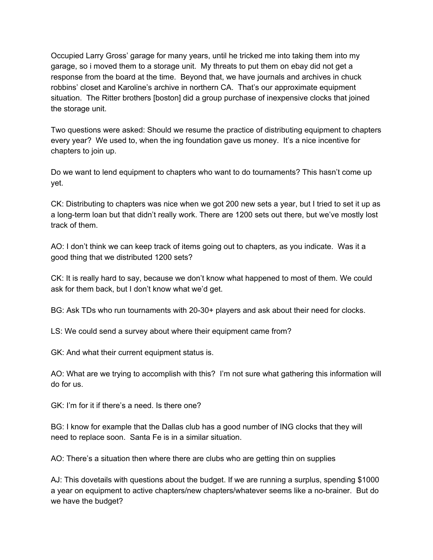Occupied Larry Gross' garage for many years, until he tricked me into taking them into my garage, so i moved them to a storage unit. My threats to put them on ebay did not get a response from the board at the time. Beyond that, we have journals and archives in chuck robbins' closet and Karoline's archive in northern CA. That's our approximate equipment situation. The Ritter brothers [boston] did a group purchase of inexpensive clocks that joined the storage unit.

Two questions were asked: Should we resume the practice of distributing equipment to chapters every year? We used to, when the ing foundation gave us money. It's a nice incentive for chapters to join up.

Do we want to lend equipment to chapters who want to do tournaments? This hasn't come up yet.

CK: Distributing to chapters was nice when we got 200 new sets a year, but I tried to set it up as a long-term loan but that didn't really work. There are 1200 sets out there, but we've mostly lost track of them.

AO: I don't think we can keep track of items going out to chapters, as you indicate. Was it a good thing that we distributed 1200 sets?

CK: It is really hard to say, because we don't know what happened to most of them. We could ask for them back, but I don't know what we'd get.

BG: Ask TDs who run tournaments with 20-30+ players and ask about their need for clocks.

LS: We could send a survey about where their equipment came from?

GK: And what their current equipment status is.

AO: What are we trying to accomplish with this? I'm not sure what gathering this information will do for us.

GK: I'm for it if there's a need. Is there one?

BG: I know for example that the Dallas club has a good number of ING clocks that they will need to replace soon. Santa Fe is in a similar situation.

AO: There's a situation then where there are clubs who are getting thin on supplies

AJ: This dovetails with questions about the budget. If we are running a surplus, spending \$1000 a year on equipment to active chapters/new chapters/whatever seems like a no-brainer. But do we have the budget?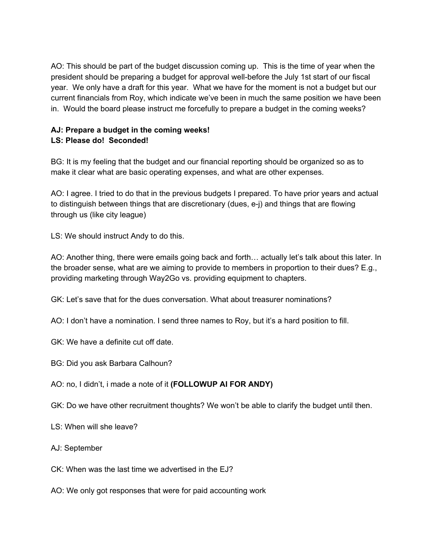AO: This should be part of the budget discussion coming up. This is the time of year when the president should be preparing a budget for approval well-before the July 1st start of our fiscal year. We only have a draft for this year. What we have for the moment is not a budget but our current financials from Roy, which indicate we've been in much the same position we have been in. Would the board please instruct me forcefully to prepare a budget in the coming weeks?

## **AJ: Prepare a budget in the coming weeks! LS: Please do! Seconded!**

BG: It is my feeling that the budget and our financial reporting should be organized so as to make it clear what are basic operating expenses, and what are other expenses.

AO: I agree. I tried to do that in the previous budgets I prepared. To have prior years and actual to distinguish between things that are discretionary (dues, e-j) and things that are flowing through us (like city league)

LS: We should instruct Andy to do this.

AO: Another thing, there were emails going back and forth… actually let's talk about this later. In the broader sense, what are we aiming to provide to members in proportion to their dues? E.g., providing marketing through Way2Go vs. providing equipment to chapters.

GK: Let's save that for the dues conversation. What about treasurer nominations?

- AO: I don't have a nomination. I send three names to Roy, but it's a hard position to fill.
- GK: We have a definite cut off date.
- BG: Did you ask Barbara Calhoun?
- AO: no, I didn't, i made a note of it **(FOLLOWUP AI FOR ANDY)**
- GK: Do we have other recruitment thoughts? We won't be able to clarify the budget until then.
- LS: When will she leave?
- AJ: September
- CK: When was the last time we advertised in the EJ?
- AO: We only got responses that were for paid accounting work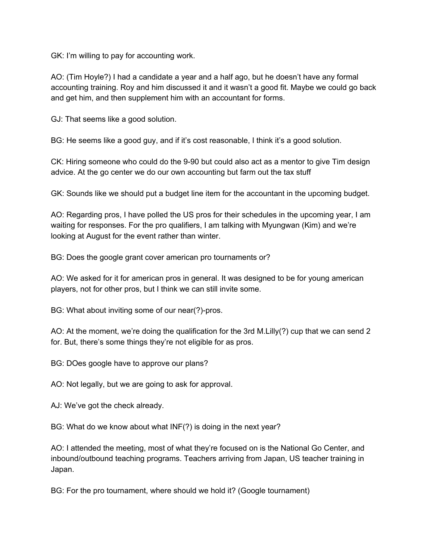GK: I'm willing to pay for accounting work.

AO: (Tim Hoyle?) I had a candidate a year and a half ago, but he doesn't have any formal accounting training. Roy and him discussed it and it wasn't a good fit. Maybe we could go back and get him, and then supplement him with an accountant for forms.

GJ: That seems like a good solution.

BG: He seems like a good guy, and if it's cost reasonable, I think it's a good solution.

CK: Hiring someone who could do the 9-90 but could also act as a mentor to give Tim design advice. At the go center we do our own accounting but farm out the tax stuff

GK: Sounds like we should put a budget line item for the accountant in the upcoming budget.

AO: Regarding pros, I have polled the US pros for their schedules in the upcoming year, I am waiting for responses. For the pro qualifiers, I am talking with Myungwan (Kim) and we're looking at August for the event rather than winter.

BG: Does the google grant cover american pro tournaments or?

AO: We asked for it for american pros in general. It was designed to be for young american players, not for other pros, but I think we can still invite some.

BG: What about inviting some of our near(?)-pros.

AO: At the moment, we're doing the qualification for the 3rd M.Lilly(?) cup that we can send 2 for. But, there's some things they're not eligible for as pros.

BG: DOes google have to approve our plans?

AO: Not legally, but we are going to ask for approval.

AJ: We've got the check already.

BG: What do we know about what INF(?) is doing in the next year?

AO: I attended the meeting, most of what they're focused on is the National Go Center, and inbound/outbound teaching programs. Teachers arriving from Japan, US teacher training in Japan.

BG: For the pro tournament, where should we hold it? (Google tournament)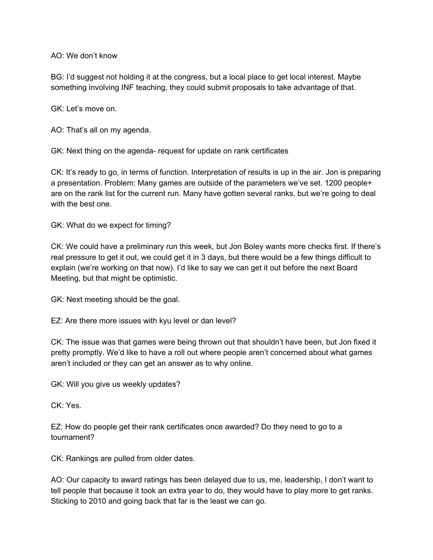AO: We don't know

BG: I'd suggest not holding it at the congress, but a local place to get local interest. Maybe something involving INF teaching, they could submit proposals to take advantage of that.

GK: Let's move on.

AO: That's all on my agenda.

GK: Next thing on the agenda- request for update on rank certificates

CK: It's ready to go, in terms of function. Interpretation of results is up in the air. Jon is preparing a presentation. Problem: Many games are outside of the parameters we've set. 1200 people+ are on the rank list for the current run. Many have gotten several ranks, but we're going to deal with the best one.

GK: What do we expect for timing?

CK: We could have a preliminary run this week, but Jon Boley wants more checks first. If there's real pressure to get it out, we could get it in 3 days, but there would be a few things difficult to explain (we're working on that now). I'd like to say we can get it out before the next Board Meeting, but that might be optimistic.

GK: Next meeting should be the goal.

EZ: Are there more issues with kyu level or dan level?

CK: The issue was that games were being thrown out that shouldn't have been, but Jon fixed it pretty promptly. We'd like to have a roll out where people aren't concerned about what games aren't included or they can get an answer as to why online.

GK: Will you give us weekly updates?

CK: Yes.

EZ: How do people get their rank certificates once awarded? Do they need to go to a tournament?

CK: Rankings are pulled from older dates.

AO: Our capacity to award ratings has been delayed due to us, me, leadership, I don't want to tell people that because it took an extra year to do, they would have to play more to get ranks. Sticking to 2010 and going back that far is the least we can go.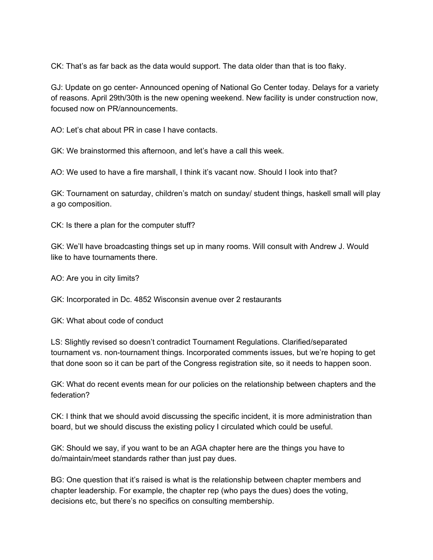CK: That's as far back as the data would support. The data older than that is too flaky.

GJ: Update on go center- Announced opening of National Go Center today. Delays for a variety of reasons. April 29th/30th is the new opening weekend. New facility is under construction now, focused now on PR/announcements.

AO: Let's chat about PR in case I have contacts.

GK: We brainstormed this afternoon, and let's have a call this week.

AO: We used to have a fire marshall, I think it's vacant now. Should I look into that?

GK: Tournament on saturday, children's match on sunday/ student things, haskell small will play a go composition.

CK: Is there a plan for the computer stuff?

GK: We'll have broadcasting things set up in many rooms. Will consult with Andrew J. Would like to have tournaments there.

AO: Are you in city limits?

GK: Incorporated in Dc. 4852 Wisconsin avenue over 2 restaurants

GK: What about code of conduct

LS: Slightly revised so doesn't contradict Tournament Regulations. Clarified/separated tournament vs. non-tournament things. Incorporated comments issues, but we're hoping to get that done soon so it can be part of the Congress registration site, so it needs to happen soon.

GK: What do recent events mean for our policies on the relationship between chapters and the federation?

CK: I think that we should avoid discussing the specific incident, it is more administration than board, but we should discuss the existing policy I circulated which could be useful.

GK: Should we say, if you want to be an AGA chapter here are the things you have to do/maintain/meet standards rather than just pay dues.

BG: One question that it's raised is what is the relationship between chapter members and chapter leadership. For example, the chapter rep (who pays the dues) does the voting, decisions etc, but there's no specifics on consulting membership.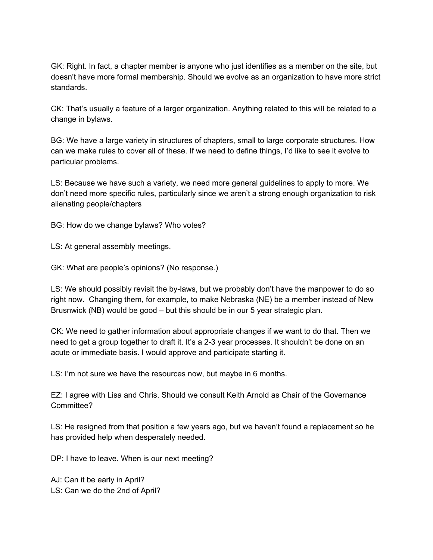GK: Right. In fact, a chapter member is anyone who just identifies as a member on the site, but doesn't have more formal membership. Should we evolve as an organization to have more strict standards.

CK: That's usually a feature of a larger organization. Anything related to this will be related to a change in bylaws.

BG: We have a large variety in structures of chapters, small to large corporate structures. How can we make rules to cover all of these. If we need to define things, I'd like to see it evolve to particular problems.

LS: Because we have such a variety, we need more general guidelines to apply to more. We don't need more specific rules, particularly since we aren't a strong enough organization to risk alienating people/chapters

BG: How do we change bylaws? Who votes?

LS: At general assembly meetings.

GK: What are people's opinions? (No response.)

LS: We should possibly revisit the by-laws, but we probably don't have the manpower to do so right now. Changing them, for example, to make Nebraska (NE) be a member instead of New Brusnwick (NB) would be good – but this should be in our 5 year strategic plan.

CK: We need to gather information about appropriate changes if we want to do that. Then we need to get a group together to draft it. It's a 2-3 year processes. It shouldn't be done on an acute or immediate basis. I would approve and participate starting it.

LS: I'm not sure we have the resources now, but maybe in 6 months.

EZ: I agree with Lisa and Chris. Should we consult Keith Arnold as Chair of the Governance Committee?

LS: He resigned from that position a few years ago, but we haven't found a replacement so he has provided help when desperately needed.

DP: I have to leave. When is our next meeting?

AJ: Can it be early in April? LS: Can we do the 2nd of April?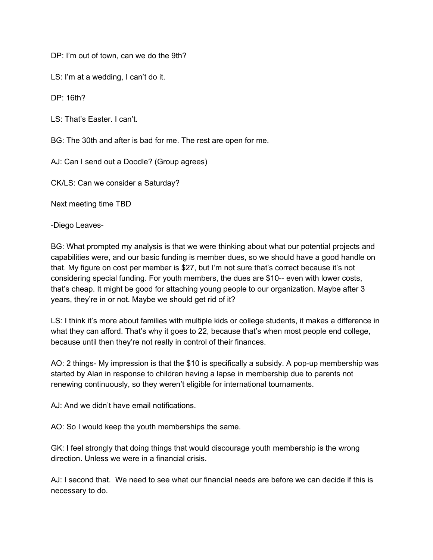DP: I'm out of town, can we do the 9th?

LS: I'm at a wedding, I can't do it.

DP: 16th?

LS: That's Easter. I can't.

BG: The 30th and after is bad for me. The rest are open for me.

AJ: Can I send out a Doodle? (Group agrees)

CK/LS: Can we consider a Saturday?

Next meeting time TBD

-Diego Leaves-

BG: What prompted my analysis is that we were thinking about what our potential projects and capabilities were, and our basic funding is member dues, so we should have a good handle on that. My figure on cost per member is \$27, but I'm not sure that's correct because it's not considering special funding. For youth members, the dues are \$10-- even with lower costs, that's cheap. It might be good for attaching young people to our organization. Maybe after 3 years, they're in or not. Maybe we should get rid of it?

LS: I think it's more about families with multiple kids or college students, it makes a difference in what they can afford. That's why it goes to 22, because that's when most people end college, because until then they're not really in control of their finances.

AO: 2 things- My impression is that the \$10 is specifically a subsidy. A pop-up membership was started by Alan in response to children having a lapse in membership due to parents not renewing continuously, so they weren't eligible for international tournaments.

AJ: And we didn't have email notifications.

AO: So I would keep the youth memberships the same.

GK: I feel strongly that doing things that would discourage youth membership is the wrong direction. Unless we were in a financial crisis.

AJ: I second that. We need to see what our financial needs are before we can decide if this is necessary to do.